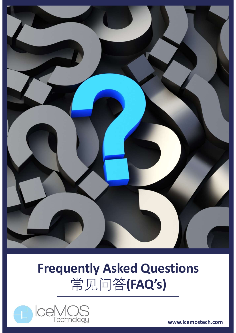

# Frequently Asked Questions 常见问答(FAQ's)



www.icemostech.com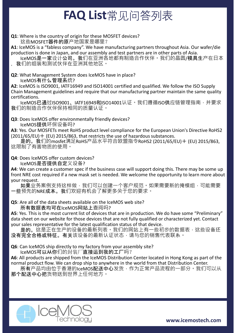#### FAQ List常见问答列表

Q1: Where is the country of origin for these MOSFET devices? 这些MOSFET器件的原产地国家是哪里?

A1: IceMOS is a "fabless company". We have manufacturing partners throughout Asia. Our wafer/die production is done in Japan, and our assembly and test partners are in other parts of Asia.

IceMOS是一家设计公司。我们在亚洲各地都有制造合作伙伴。我们的晶圆/模具生产在日本 ,我们的组装和测试伙伴在亚洲其他地区。

Q2: What Management System does IceMOS have in place? IceMOS有什么管理系统?

A2: IceMOS is ISO9001, IATF16949 and ISO14001 certified and qualified. We follow the ISO Supply Chain Management guidelines and require that our manufacturing partner maintain the same quality certifications.

IceMOS已通过ISO9001、IATF16949和ISO14001认证。我们遵循ISO供应链管理指南,并要求 我们的制造合作伙伴保持相同的质量认证。

Q3: Does IceMOS offer environmentally friendly devices? IceMOS提供环保设备吗?

A3: Yes. Our MOSFETs meet RoHS product level compliance for the European Union's Directive RoHS2  $(2011/65/EU)$   $+$  (EU) 2015/863, that restricts the use of hazardous substances.

是的。我们的mosfet满足RoHS产品水平符合欧盟指令RoHS2 (2011/65/EU)+ (EU) 2015/863, 这限制了有害物质的使用。

Q4: Does IceMOS offer custom devices?

IceMOS是否提供自定义设备?

A4: We can create a customer spec if the business case will support doing this. There may be some up front NRE cost required if a new mask set is needed. We welcome the opportunity to learn more about your request.

如果业务案例支持这样做,我们可以创建一个客户规范。如果需要新的掩模组,可能需要 一些预先的NRE成本。我们欢迎有机会了解更多关于您的要求。

所有数据表均可在IceMOS网站上查阅吗?

Tecklocs<br>
23: Does IceMOS of the Triggential of the data sheets available on the European Union's Direct<br>
23: Ves. Our MOSFETs meet RoHS product level compliance for the European Union's Direct<br>
2011) 65/EUJ + (EU) 2015/ A5: Yes. This is the most current list of devices that are in production. We do have some "Preliminary" data sheet on our website for those devices that are not fully qualified or characterized yet. Contact your sales representative for the latest qualification status of that device.

是的。这是正在生产的设备的最新列表。我们的网站上有一些初步的数据表,这些设备还 没有完全合格或特征。有关该设备的最新认证状态,请与您的销售代表联系。

Q6: Can IceMOS ship directly to my factory from your assembly site?

IceMOS可以从你们的封装厂直接运到我的工厂吗?

A6: All products are shipped from the IceMOS Distribution Center located in Hong Kong as part of the normal product flow. We can drop ship to anywhere in the world from that Distribution Center.

所有产品均由位于香港的IceMOS配送中心发货,作为正常产品流程的一部分。我们可以从 那个配送中心把货物送到世界上任何地方。

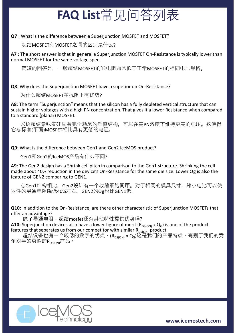## FAQ List常见问答列表

超结MOSFET和MOSFET之间的区别是什么?

**CAQ List**  $\H\oplus \Box$   $\Box$   $\H\oplus \L\oplus \Box$ <br>
Q7 : What is the difference between a Superjunction MOSFET and MOSFET?<br>  $\Box$  Az : The short answer is that in general a Superjunction MOSFET On-Resistance is typically lower than<br> **ANG List**  $\overleftrightarrow{F}$   $\overrightarrow{L}$   $\overleftrightarrow{O}$   $\overleftrightarrow{O}$   $\overleftrightarrow{F}$   $\overrightarrow{H}$   $\overleftrightarrow{C}$ <br>
A7 : What is the difference between a Superjunction MOSFET and MOSFET?<br>
A7 : The short answer is that in general a Superjunction MOSFET On-Resista normal MOSFET for the same voltage spec.

简短的回答是,一般超结MOSFET的通电阻通常低于正常MOSFET的相同电压规格。

为什么超结MOSEFT在抗阻上有优势?

Q7 : What is the difference between a Superjunction MOSFET and MOSFET?<br>
超结MOSFET和MOSFET之间的区别是什么?<br>
A7 : The short answer is that in general a Superjunction MOSFET on-Resistance is typically lower than<br>
normal MOSFET for t A8: The term "Superjunction" means that the silicon has a fully depleted vertical structure that can sustain higher voltages with a high PN concentration. That gives it a lower Resistance when compared to a standard (planar) MOSFET. Q9: What is the difference between Gen1 and Gen2 IceMOS product? Q8: Why does the Superjunction MOSEFT have a superior on On-Resistance?<br>
为什么超结MOSEFT在抗阻上有优势?<br>
AB: The term "Superjunction" means that the silicon has a fully depleted vertical structure that can<br>
sustain higher voltages

术语超结意味着硅具有完全耗尽的垂直结构,可以在高PN浓度下维持更高的电压。这使得 它与标准(平面)MOSFET相比具有更低的电阻。

Gen1和Gen2的IceMOS产品有什么不同?

A9: The Gen2 design has a Shrink cell pitch in comparison to the Gen1 structure. Shrinking the cell feature of GEN2 comparing to GEN1. sustain higher voltages with a high PN concentration. That gives it a lower Resistance when compared<br>
to a standard (planar) MOSFET.<br>
术语超结意味看硅具有完全耗尽的垂直结构,可以在高PN次度下维持更高的电压。这使得<br>
它与标准(平面)MOSFET相比具有更低的电阻。<br>
Q9: What is the dif 它与标准(平面)MOSFET相比其有更低的电阻。<br>
29: What is the difference between Gen1 and Gen2 lceMOS product?<br>
Superinces also set of essign has a Shrink cell pitch in comparison to the Gen1 structure. Shrinking the cell<br>
made about 40% re

与Gen1结构相比, Gen2设计有一个收缩细胞间距。对于相同的模具尺寸, 缩小电池可以使 器件的导通电阻降低40%左右。GEN2的Qg也比GEN1低。

offer an advantage?

除了导通电阻,超结mosfet还有其他特性提供优势吗?

A10: Superjunction devices also have a lower figure of merit ( $R_{DS(ON)} \times Q_G$ ) is one of the product features that separates us from our competitor with similar  $R_{DS(ON)}$  product.

超结设备也有一个较低的数字的优点,(R<sub>DS(ON)</sub> x Q<sub>G</sub>)这是我们的产品特点,有别于我们的竞 争对手的类似的Rpston)产品。